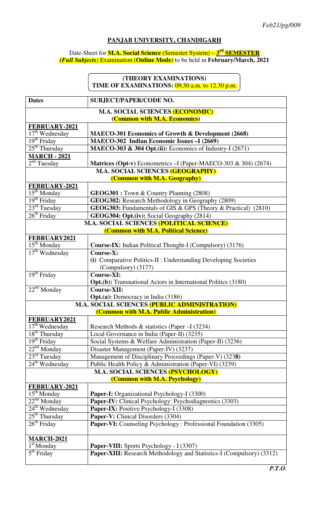## **PANJAB UNIVERSITY, CHANDIGARH**

## Date-Sheet for **M.A. Social Science** (Semester System) – **3 rd SEMESTER** *(Full Subjects)* Examination (**Online Mode**) to be held in **February/March, 2021**

## **(THEORY EXAMINATIONS)**  TIME OF EXAMINATIONS: 09.30 a.m. to 12.30 p.m.

| <b>Dates</b>                                                              | <b>SUBJECT/PAPER/CODE NO.</b>                                         |  |
|---------------------------------------------------------------------------|-----------------------------------------------------------------------|--|
| <b>M.A. SOCIAL SCIENCES (ECONOMIC)</b>                                    |                                                                       |  |
| (Common with M.A. Economics)                                              |                                                                       |  |
| FEBRUARY-2021                                                             |                                                                       |  |
| $17th$ Wednesday                                                          | MAECO-301 Economics of Growth & Development (2668)                    |  |
| 19 <sup>th</sup> Friday                                                   | MAECO-302 Indian Economic Issues -I (2669)                            |  |
| $25th$ Thursday                                                           | MAECO-303 & 304 Opt.(ii): Economics of Industry-I (2671)              |  |
| <b>MARCH - 2021</b>                                                       |                                                                       |  |
| 2 <sup>nd</sup> Tuesday                                                   | Matrices (Opt-v) Econometrics - I (Paper-MAECO-303 & 304) (2674)      |  |
| <b>M.A. SOCIAL SCIENCES (GEOGRAPHY)</b>                                   |                                                                       |  |
| (Common with M.A. Geography)                                              |                                                                       |  |
| FEBRUARY-2021<br>$15^{\text{th}}$ Monday                                  | <b>GEOG301</b> : Town & Country Planning (2808)                       |  |
| $19th$ Friday                                                             | GEOG302: Research Methodology in Geography (2809)                     |  |
| $23^{\text{rd}}$ Tuesday                                                  | <b>GEOG303:</b> Fundamentals of GIS & GPS (Theory & Practical) (2810) |  |
| $26th$ Friday                                                             | GEOG304: Opt.(iv): Social Geography (2814)                            |  |
| <b>M.A. SOCIAL SCIENCES (POLITICAL SCIENCE)</b>                           |                                                                       |  |
| (Common with M.A. Political Science)                                      |                                                                       |  |
| FEBRUARY2021                                                              |                                                                       |  |
| $15th$ Monday                                                             | <b>Course-IX:</b> Indian Political Thought-I (Compulsory) (3176)      |  |
| $17th$ Wednesday                                                          | Course-X:                                                             |  |
|                                                                           | (i) Comparative Politics-II : Understanding Developing Societies      |  |
|                                                                           | (Compulsory) (3177)                                                   |  |
| $19th$ Friday                                                             | <b>Course-XI:</b>                                                     |  |
|                                                                           | <b>Opt.(b):</b> Transnational Actors in International Politics (3180) |  |
| $22nd$ Monday                                                             | <b>Course-XII:</b>                                                    |  |
|                                                                           | <b>Opt.(a):</b> Democracy in India (3186)                             |  |
| <b>M.A. SOCIAL SCIENCES (PUBLIC ADMINISTRATION)</b>                       |                                                                       |  |
| (Common with M.A. Public Administration)                                  |                                                                       |  |
| FEBRUARY2021                                                              |                                                                       |  |
| $17th$ Wednesday                                                          | Research Methods & statistics (Paper $-I(3234)$ )                     |  |
| $18th$ Thursday                                                           | Local Governance in India (Paper-II) (3235)                           |  |
| 19 <sup>th</sup> Friday                                                   | Social Systems & Welfare Administration (Paper-II) (3236)             |  |
| $22^{nd}$ Monday                                                          | Disaster Management (Paper-IV) (3237)                                 |  |
| $23rd$ Tuesday                                                            | Management of Disciplinary Proceedings (Paper-V) (3238)               |  |
| $24th$ Wednesday                                                          | Public Health Policy & Administration (Paper-VI) (3239)               |  |
| <b>M.A. SOCIAL SCIENCES (PSYCHOLOGY)</b><br>(Common with M.A. Psychology) |                                                                       |  |
| FEBRUARY-2021                                                             |                                                                       |  |
| $15th$ Monday                                                             | Paper-I: Organizational Psychology-I (3300)                           |  |
| $22nd$ Monday                                                             | Paper-IV: Clinical Psychology: Psychodiagnostics (3303)               |  |
| $24th$ Wednesday                                                          | Paper-IX: Positive Psychology-I (3308)                                |  |
| $25th$ Thursday                                                           | Paper-V: Clinical Disorders (3304)                                    |  |
| $26th$ Friday                                                             | Paper-VI: Counseling Psychology: Professional Foundation (3305)       |  |
|                                                                           |                                                                       |  |
| <b>MARCH-2021</b>                                                         |                                                                       |  |
| $1st$ Monday                                                              | Paper-VIII: Sports Psychology - I (3307)                              |  |
| 5 <sup>th</sup> Friday                                                    | Paper-XIII: Research Methodology and Statistics-I (Compulsory) (3312) |  |
|                                                                           |                                                                       |  |